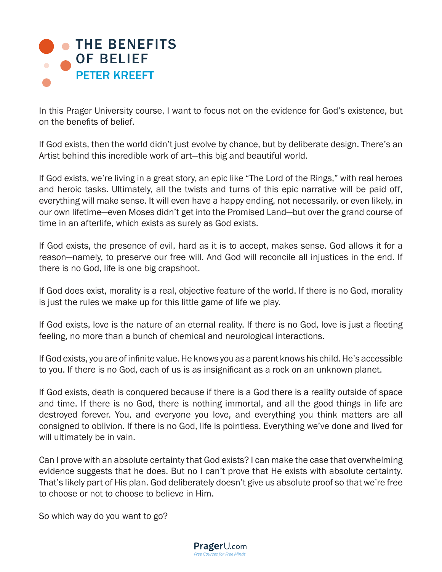## **• [THE BENEFITS](https://www.prageru.com/courses/religionphilosophy/benefits-belief)** OF BELIEF PETER KREEFT

In this Prager University course, I want to focus not on the evidence for God's existence, but on the benefits of belief.

If God exists, then the world didn't just evolve by chance, but by deliberate design. There's an Artist behind this incredible work of art—this big and beautiful world.

If God exists, we're living in a great story, an epic like "The Lord of the Rings," with real heroes and heroic tasks. Ultimately, all the twists and turns of this epic narrative will be paid off, everything will make sense. It will even have a happy ending, not necessarily, or even likely, in our own lifetime—even Moses didn't get into the Promised Land—but over the grand course of time in an afterlife, which exists as surely as God exists.

If God exists, the presence of evil, hard as it is to accept, makes sense. God allows it for a reason—namely, to preserve our free will. And God will reconcile all injustices in the end. If there is no God, life is one big crapshoot.

If God does exist, morality is a real, objective feature of the world. If there is no God, morality is just the rules we make up for this little game of life we play.

If God exists, love is the nature of an eternal reality. If there is no God, love is just a fleeting feeling, no more than a bunch of chemical and neurological interactions.

If God exists, you are of infinite value. He knows you as a parent knows his child. He's accessible to you. If there is no God, each of us is as insignificant as a rock on an unknown planet.

If God exists, death is conquered because if there is a God there is a reality outside of space and time. If there is no God, there is nothing immortal, and all the good things in life are destroyed forever. You, and everyone you love, and everything you think matters are all consigned to oblivion. If there is no God, life is pointless. Everything we've done and lived for will ultimately be in vain.

Can I prove with an absolute certainty that God exists? I can make the case that overwhelming evidence suggests that he does. But no I can't prove that He exists with absolute certainty. That's likely part of His plan. God deliberately doesn't give us absolute proof so that we're free to choose or not to choose to believe in Him.

So which way do you want to go?